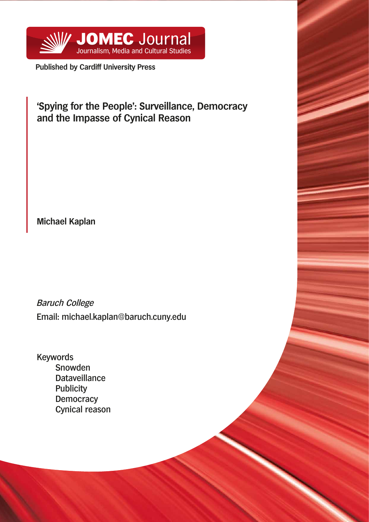

**Published by Cardiff University Press**

# **'Spying for the People': Surveillance, Democracy and the Impasse of Cynical Reason**

**Michael Kaplan**

Baruch College Email: michael.kaplan@baruch.cuny.edu

Keywords Snowden **Dataveillance Publicity Democracy** Cynical reason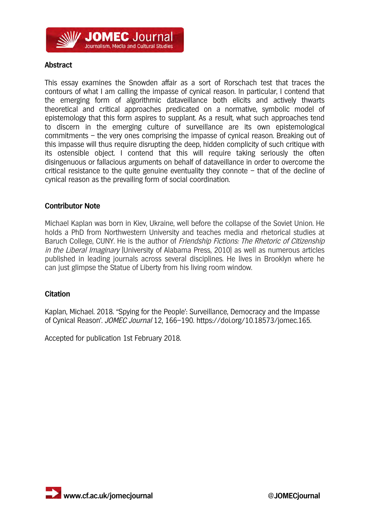

### **Abstract**

This essay examines the Snowden affair as a sort of Rorschach test that traces the contours of what I am calling the impasse of cynical reason. In particular, I contend that the emerging form of algorithmic dataveillance both elicits and actively thwarts theoretical and critical approaches predicated on a normative, symbolic model of epistemology that this form aspires to supplant. As a result, what such approaches tend to discern in the emerging culture of surveillance are its own epistemological commitments – the very ones comprising the impasse of cynical reason. Breaking out of this impasse will thus require disrupting the deep, hidden complicity of such critique with its ostensible object. I contend that this will require taking seriously the often disingenuous or fallacious arguments on behalf of dataveillance in order to overcome the critical resistance to the quite genuine eventuality they connote  $-$  that of the decline of cynical reason as the prevailing form of social coordination.

### **Contributor Note**

Michael Kaplan was born in Kiev, Ukraine, well before the collapse of the Soviet Union. He holds a PhD from Northwestern University and teaches media and rhetorical studies at Baruch College, CUNY. He is the author of *Friendship Fictions: The Rhetoric of Citizenship* in the Liberal Imaginary (University of Alabama Press, 2010) as well as numerous articles published in leading journals across several disciplines. He lives in Brooklyn where he can just glimpse the Statue of Liberty from his living room window.

### **Citation**

Kaplan, Michael. 2018. ''Spying for the People': Surveillance, Democracy and the Impasse of Cynical Reason'. JOMEC Journal 12, 166–190. https://doi.org/10.18573/jomec.165.

Accepted for publication 1st February 2018.

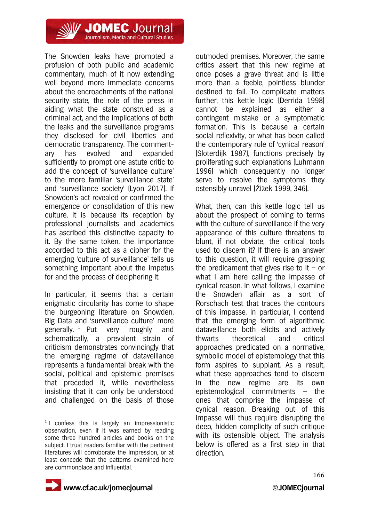

The Snowden leaks have prompted a profusion of both public and academic commentary, much of it now extending well beyond more immediate concerns about the encroachments of the national security state, the role of the press in aiding what the state construed as a criminal act, and the implications of both the leaks and the surveillance programs they disclosed for civil liberties and democratic transparency. The commentary has evolved and expanded sufficiently to prompt one astute critic to add the concept of 'surveillance culture' to the more familiar 'surveillance state' and 'surveillance society' (Lyon 2017). If Snowden's act revealed or confirmed the emergence or consolidation of this new culture, it is because its reception by professional journalists and academics has ascribed this distinctive capacity to it. By the same token, the importance accorded to this act as a cipher for the emerging 'culture of surveillance' tells us something important about the impetus for and the process of deciphering it.

In particular, it seems that a certain enigmatic circularity has come to shape the burgeoning literature on Snowden, Big Data and 'surveillance culture' more generally.  $1$  Put very roughly and schematically, a prevalent strain of criticism demonstrates convincingly that the emerging regime of dataveillance represents a fundamental break with the social, political and epistemic premises that preceded it, while nevertheless insisting that it can only be understood and challenged on the basis of those

outmoded premises. Moreover, the same critics assert that this new regime at once poses a grave threat and is little more than a feeble, pointless blunder destined to fail. To complicate matters further, this kettle logic (Derrida 1998) cannot be explained as either a contingent mistake or a symptomatic formation. This is because a certain social reflexivity, or what has been called the contemporary rule of 'cynical reason' (Sloterdijk 1987), functions precisely by proliferating such explanations (Luhmann 1996) which consequently no longer serve to resolve the symptoms they ostensibly unravel (Žižek 1999, 346).

What, then, can this kettle logic tell us about the prospect of coming to terms with the culture of surveillance if the very appearance of this culture threatens to blunt, if not obviate, the critical tools used to discern it? If there is an answer to this question, it will require grasping the predicament that gives rise to it – or what I am here calling the impasse of cynical reason. In what follows, I examine the Snowden affair as a sort of Rorschach test that traces the contours of this impasse. In particular, I contend that the emerging form of algorithmic dataveillance both elicits and actively thwarts theoretical and critical approaches predicated on a normative, symbolic model of epistemology that this form aspires to supplant. As a result, what these approaches tend to discern in the new regime are its own epistemological commitments – the ones that comprise the impasse of cynical reason. Breaking out of this impasse will thus require disrupting the deep, hidden complicity of such critique with its ostensible object. The analysis below is offered as a first step in that direction.



 $\overline{a}$  $1$  I confess this is largely an impressionistic observation, even if it was earned by reading some three hundred articles and books on the subject. I trust readers familiar with the pertinent literatures will corroborate the impression, or at least concede that the patterns examined here are commonplace and influential.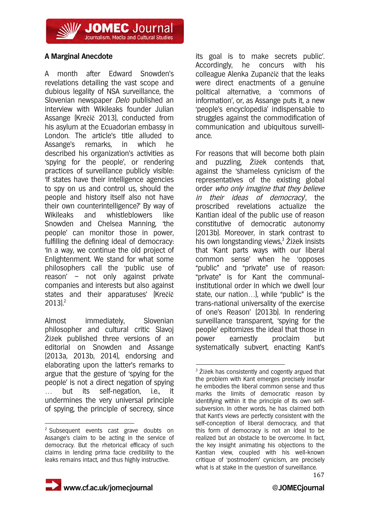**JOMEC** Journal Journalism, Media and Cultural Studies

## **A Marginal Anecdote**

A month after Edward Snowden's revelations detailing the vast scope and dubious legality of NSA surveillance, the Slovenian newspaper *Delo* published an interview with Wikileaks founder Julian Assange (Krečič 2013), conducted from his asylum at the Ecuadorian embassy in London. The article's title alluded to Assange's remarks, in which he described his organization's activities as 'spying for the people', or rendering practices of surveillance publicly visible: 'If states have their intelligence agencies to spy on us and control us, should the people and history itself also not have their own counterintelligence?' By way of Wikileaks and whistleblowers like Snowden and Chelsea Manning, 'the people' can monitor those in power, fulfilling the defining ideal of democracy: 'In a way, we continue the old project of Enlightenment. We stand for what some philosophers call the 'public use of reason' – not only against private companies and interests but also against states and their apparatuses' (Krečič  $2013$ <sup>2</sup>

Almost immediately, Slovenian philosopher and cultural critic Slavoj Žižek published three versions of an editorial on Snowden and Assange (2013a, 2013b, 2014), endorsing and elaborating upon the latter's remarks to argue that the gesture of 'spying for the people' is not a direct negation of spying … but its self-negation, i.e., it undermines the very universal principle of spying, the principle of secrecy, since

its goal is to make secrets public'. Accordingly, he concurs with his colleague Alenka Zupančič that the leaks were direct enactments of a genuine political alternative, a 'commons of information', or, as Assange puts it, a new 'people's encyclopedia' indispensable to struggles against the commodification of communication and ubiquitous surveillance.

For reasons that will become both plain and puzzling, Žižek contends that, against the 'shameless cynicism of the representatives of the existing global order who only imagine that they believe in their ideas of democracy', the proscribed revelations actualize the Kantian ideal of the public use of reason constitutive of democratic autonomy (2013b). Moreover, in stark contrast to his own longstanding views.<sup>3</sup> Žižek insists that 'Kant parts ways with our liberal common sense' when he 'opposes "public" and "private" use of reason: "private" is for Kant the communalinstitutional order in which we dwell (our state, our nation…), while "public" is the trans-national universality of the exercise of one's Reason' (2013b). In rendering surveillance transparent, 'spying for the people' epitomizes the ideal that those in power earnestly proclaim but systematically subvert, enacting Kant's

1



 $\overline{a}$ <sup>2</sup> Subsequent events cast grave doubts on Assange's claim to be acting in the service of democracy. But the rhetorical efficacy of such claims in lending prima facie credibility to the leaks remains intact, and thus highly instructive.

 $3$  Žižek has consistently and cogently argued that the problem with Kant emerges precisely insofar he embodies the liberal common sense and thus marks the limits of democratic reason by identifying within it the principle of its own selfsubversion. In other words, he has claimed both that Kant's views are perfectly consistent with the self-conception of liberal democracy, and that this form of democracy is not an ideal to be realized but an obstacle to be overcome. In fact, the key insight animating his objections to the Kantian view, coupled with his well-known critique of 'postmodern' cynicism, are precisely what is at stake in the question of surveillance.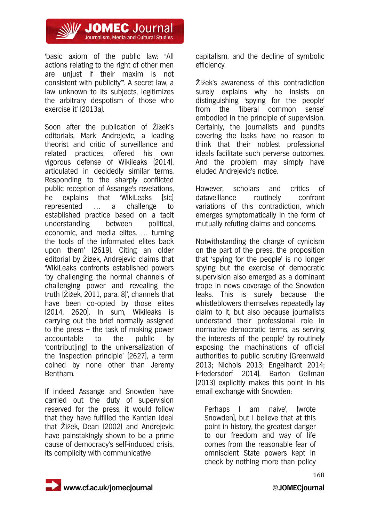

'basic axiom of the public law: "All actions relating to the right of other men are unjust if their maxim is not consistent with publicity"'. A secret law, a law unknown to its subjects, legitimizes the arbitrary despotism of those who exercise it' (2013a).

Soon after the publication of Žižek's editorials, Mark Andrejevic, a leading theorist and critic of surveillance and related practices, offered his own vigorous defense of Wikileaks (2014), articulated in decidedly similar terms. Responding to the sharply conflicted public reception of Assange's revelations, he explains that 'WikiLeaks [sic] represented … a challenge to established practice based on a tacit understanding between political, economic, and media elites. … turning the tools of the informated elites back upon them' (2619). Citing an older editorial by Žižek, Andrejevic claims that 'WikiLeaks confronts established powers 'by challenging the normal channels of challenging power and revealing the truth (Žižek, 2011, para. 8)', channels that have been co-opted by those elites (2014, 2620). In sum, Wikileaks is carrying out the brief normally assigned to the press – the task of making power accountable to the public by 'contribut[ing] to the universalization of the 'inspection principle' (2627), a term coined by none other than Jeremy Bentham.

If indeed Assange and Snowden have carried out the duty of supervision reserved for the press, it would follow that they have fulfilled the Kantian ideal that Žižek, Dean (2002) and Andrejevic have painstakingly shown to be a prime cause of democracy's self-induced crisis, its complicity with communicative

capitalism, and the decline of symbolic efficiency.

Žižek's awareness of this contradiction surely explains why he insists on distinguishing 'spying for the people' from the 'liberal common sense' embodied in the principle of supervision. Certainly, the journalists and pundits covering the leaks have no reason to think that their noblest professional ideals facilitate such perverse outcomes. And the problem may simply have eluded Andrejevic's notice.

However, scholars and critics of dataveillance routinely confront variations of this contradiction, which emerges symptomatically in the form of mutually refuting claims and concerns.

Notwithstanding the charge of cynicism on the part of the press, the proposition that 'spying for the people' is no longer spying but the exercise of democratic supervision also emerged as a dominant trope in news coverage of the Snowden leaks. This is surely because the whistleblowers themselves repeatedly lay claim to it, but also because journalists understand their professional role in normative democratic terms, as serving the interests of 'the people' by routinely exposing the machinations of official authorities to public scrutiny (Greenwald 2013; Nichols 2013; Engelhardt 2014; Friedersdorf 2014). Barton Gellman (2013) explicitly makes this point in his email exchange with Snowden:

Perhaps I am naive', [wrote Snowden], but I believe that at this point in history, the greatest danger to our freedom and way of life comes from the reasonable fear of omniscient State powers kept in check by nothing more than policy

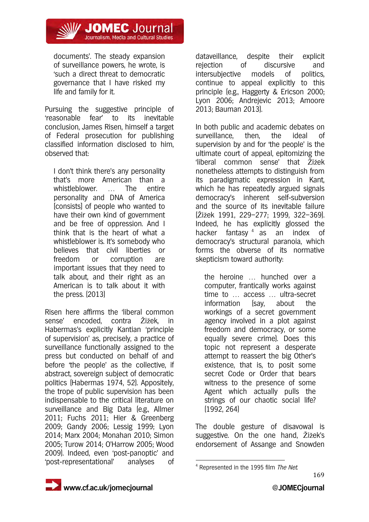

documents'. The steady expansion of surveillance powers, he wrote, is 'such a direct threat to democratic governance that I have risked my life and family for it.

Pursuing the suggestive principle of 'reasonable fear' to its inevitable conclusion, James Risen, himself a target of Federal prosecution for publishing classified information disclosed to him, observed that:

I don't think there's any personality that's more American than a whistleblower . The entire personality and DNA of America [consists] of people who wanted to have their own kind of government and be free of oppression. And I think that is the heart of what a whistleblower is. It's somebody who believes that civil liberties or freedom or corruption are important issues that they need to talk about, and their right as an American is to talk about it with the press. (2013)

Risen here affirms the 'liberal common sense' encoded, contra Žižek, in Habermas's explicitly Kantian 'principle of supervision' as, precisely, a practice of surveillance functionally assigned to the press but conducted on behalf of and before 'the people' as the collective, if abstract, sovereign subject of democratic politics (Habermas 1974, 52). Appositely, the trope of public supervision has been indispensable to the critical literature on surveillance and Big Data (e.g., Allmer 2011; Fuchs 2011; Hier & Greenberg 2009; Gandy 2006; Lessig 1999; Lyon 2014; Marx 2004; Monahan 2010; Simon 2005; Turow 2014; O'Harrow 2005; Wood 2009). Indeed, even 'post-panoptic' and 'post-representational' analyses of

dataveillance, despite their explicit rejection of discursive and intersubjective models of politics, continue to appeal explicitly to this principle (e.g., Haggerty & Ericson 2000; Lyon 2006; Andrejevic 2013; Amoore 2013; Bauman 2013).

In both public and academic debates on surveillance, then, the ideal of supervision by and for 'the people' is the ultimate court of appeal, epitomizing the 'liberal common sense' that Žižek nonetheless attempts to distinguish from its paradigmatic expression in Kant, which he has repeatedly argued signals democracy's inherent self-subversion and the source of its inevitable failure (Žižek 1991, 229–277; 1999, 322–369). Indeed, he has explicitly glossed the hacker fantasy<sup>4</sup> as an index of democracy's structural paranoia, which forms the obverse of its normative skepticism toward authority:

the heroine … hunched over a computer, frantically works against time to … access … ultra-secret information (say, about the workings of a secret government agency involved in a plot against freedom and democracy, or some equally severe crime). Does this topic not represent a desperate attempt to reassert the big Other's existence, that is, to posit some secret Code or Order that bears witness to the presence of some Agent which actually pulls the strings of our chaotic social life? (1992, 264)

The double gesture of disavowal is suggestive. On the one hand, Žižek's endorsement of Assange and Snowden

<sup>4</sup> Represented in the 1995 film The Net.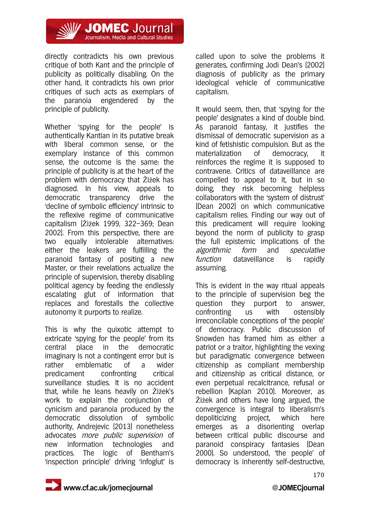

directly contradicts his own previous critique of both Kant and the principle of publicity as politically disabling. On the other hand, it contradicts his own prior critiques of such acts as exemplars of the paranoia engendered by the principle of publicity.

Whether 'spying for the people' is authentically Kantian in its putative break with liberal common sense, or the exemplary instance of this common sense, the outcome is the same: the principle of publicity is at the heart of the problem with democracy that Žižek has diagnosed. In his view, appeals to democratic transparency drive the 'decline of symbolic efficiency' intrinsic to the reflexive regime of communicative capitalism (Žižek 1999, 322–369; Dean 2002). From this perspective, there are two equally intolerable alternatives: either the leakers are fulfilling the paranoid fantasy of positing a new Master, or their revelations actualize the principle of supervision, thereby disabling political agency by feeding the endlessly escalating glut of information that replaces and forestalls the collective autonomy it purports to realize.

This is why the quixotic attempt to extricate 'spying for the people' from its central place in the democratic imaginary is not a contingent error but is rather emblematic of a wider predicament confronting critical surveillance studies. It is no accident that, while he leans heavily on Žižek's work to explain the conjunction of cynicism and paranoia produced by the democratic dissolution of symbolic authority, Andrejevic (2013) nonetheless advocates more public supervision of new information technologies and practices. The logic of Bentham's 'inspection principle' driving 'infoglut' is

called upon to solve the problems it generates, confirming Jodi Dean's (2002) diagnosis of publicity as the primary ideological vehicle of communicative capitalism.

It would seem, then, that 'spying for the people' designates a kind of double bind. As paranoid fantasy, it justifies the dismissal of democratic supervision as a kind of fetishistic compulsion. But as the materialization of democracy, it reinforces the regime it is supposed to contravene. Critics of dataveillance are compelled to appeal to it, but in so doing, they risk becoming helpless collaborators with the 'system of distrust' (Dean 2002) on which communicative capitalism relies. Finding our way out of this predicament will require looking beyond the norm of publicity to grasp the full epistemic implications of the algorithmic form and speculative function dataveillance is rapidly assuming.

This is evident in the way ritual appeals to the principle of supervision beg the question they purport to answer, confronting us with ostensibly irreconcilable conceptions of 'the people' of democracy. Public discussion of Snowden has framed him as either a patriot or a traitor, highlighting the vexing but paradigmatic convergence between citizenship as compliant membership and citizenship as critical distance, or even perpetual recalcitrance, refusal or rebellion (Kaplan 2010). Moreover, as Žižek and others have long argued, the convergence is integral to liberalism's depoliticizing project, which here emerges as a disorienting overlap between critical public discourse and paranoid conspiracy fantasies (Dean 2000). So understood, 'the people' of democracy is inherently self-destructive,

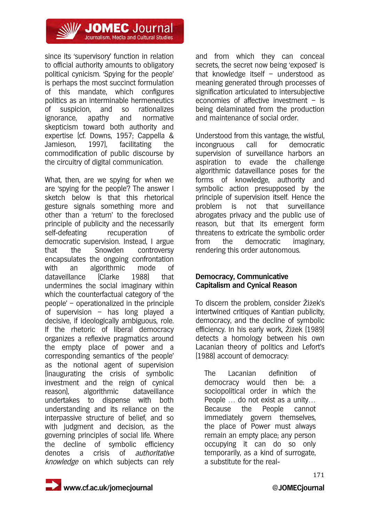

since its 'supervisory' function in relation to official authority amounts to obligatory political cynicism. 'Spying for the people' is perhaps the most succinct formulation of this mandate, which configures politics as an interminable hermeneutics of suspicion, and so rationalizes ignorance, apathy and normative skepticism toward both authority and expertise (cf. Downs, 1957; Cappella & Jamieson, 1997), facilitating the commodification of public discourse by the circuitry of digital communication.

What, then, are we spying for when we are 'spying for the people'? The answer I sketch below is that this rhetorical gesture signals something more and other than a 'return' to the foreclosed principle of publicity and the necessarily self-defeating recuperation of democratic supervision. Instead, I argue that the Snowden controversy encapsulates the ongoing confrontation with an algorithmic mode of dataveillance (Clarke 1988) that undermines the social imaginary within which the counterfactual category of 'the people' – operationalized in the principle of supervision – has long played a decisive, if ideologically ambiguous, role. If the rhetoric of liberal democracy organizes a reflexive pragmatics around the empty place of power and a corresponding semantics of 'the people' as the notional agent of supervision (inaugurating the crisis of symbolic investment and the reign of cynical reason), algorithmic dataveillance undertakes to dispense with both understanding and its reliance on the interpassive structure of belief, and so with judgment and decision, as the governing principles of social life. Where the decline of symbolic efficiency denotes a crisis of authoritative knowledge on which subjects can rely

and from which they can conceal secrets, the secret now being 'exposed' is that knowledge itself – understood as meaning generated through processes of signification articulated to intersubjective economies of affective investment – is being delaminated from the production and maintenance of social order.

Understood from this vantage, the wistful, incongruous call for democratic supervision of surveillance harbors an aspiration to evade the challenge algorithmic dataveillance poses for the forms of knowledge, authority and symbolic action presupposed by the principle of supervision itself. Hence the problem is not that surveillance abrogates privacy and the public use of reason, but that its emergent form threatens to extricate the symbolic order from the democratic imaginary, rendering this order autonomous.

### **Democracy, Communicative Capitalism and Cynical Reason**

To discern the problem, consider Žižek's intertwined critiques of Kantian publicity, democracy, and the decline of symbolic efficiency. In his early work, Žižek (1989) detects a homology between his own Lacanian theory of politics and Lefort's (1988) account of democracy:

The Lacanian definition of democracy would then be: a sociopolitical order in which the People … do not exist as a unity… Because the People cannot immediately govern themselves, the place of Power must always remain an empty place; any person occupying it can do so only temporarily, as a kind of surrogate, a substitute for the real-

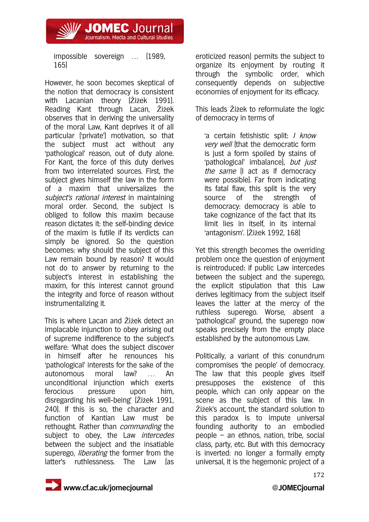impossible sovereign … (1989, 165)

**/ JOMEC** Journal Journalism, Media and Cultural Studies

However, he soon becomes skeptical of the notion that democracy is consistent with Lacanian theory (Žižek 1991). Reading Kant through Lacan, Žižek observes that in deriving the universality of the moral Law, Kant deprives it of all particular ('private') motivation, so that the subject must act without any 'pathological' reason, out of duty alone. For Kant, the force of this duty derives from two interrelated sources. First, the subject gives himself the law in the form of a maxim that universalizes the subject's rational interest in maintaining moral order. Second, the subject is obliged to follow this maxim because reason dictates it: the self-binding device of the maxim is futile if its verdicts can simply be ignored. So the question becomes: why should the subject of this Law remain bound by reason? It would not do to answer by returning to the subject's interest in establishing the maxim, for this interest cannot ground the integrity and force of reason without instrumentalizing it.

This is where Lacan and Žižek detect an implacable injunction to obey arising out of supreme indifference to the subject's welfare: 'What does the subject discover in himself after he renounces his 'pathological' interests for the sake of the autonomous moral law? … An unconditional injunction which exerts ferocious pressure upon him, disregarding his well-being' (Žižek 1991, 240). If this is so, the character and function of Kantian Law must be rethought. Rather than *commanding* the subject to obey, the Law *intercedes* between the subject and the insatiable superego, *liberating* the former from the latter's ruthlessness. The Law (as

eroticized reason) permits the subject to organize its enjoyment by routing it through the symbolic order, which consequently depends on subjective economies of enjoyment for its efficacy.

This leads Žižek to reformulate the logic of democracy in terms of

'a certain fetishistic split: I know very well (that the democratic form is just a form spoiled by stains of 'pathological' imbalance), but just the same (I act as if democracy were possible). Far from indicating its fatal flaw, this split is the very source of the strength of democracy: democracy is able to take cognizance of the fact that its limit lies in itself, in its internal 'antagonism'. (Žižek 1992, 168)

Yet this strength becomes the overriding problem once the question of enjoyment is reintroduced: if public Law intercedes between the subject and the superego, the explicit stipulation that this Law derives legitimacy from the subject itself leaves the latter at the mercy of the ruthless superego. Worse, absent a 'pathological' ground, the superego now speaks precisely from the empty place established by the autonomous Law.

Politically, a variant of this conundrum compromises 'the people' of democracy. The law that this people gives itself presupposes the existence of this people, which can only appear on the scene as the subject of this law. In Žižek's account, the standard solution to this paradox is to impute universal founding authority to an embodied people – an ethnos, nation, tribe, social class, party, etc. But with this democracy is inverted: no longer a formally empty universal, it is the hegemonic project of a

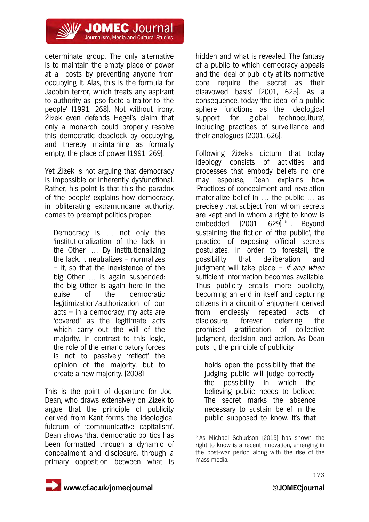

determinate group. The only alternative is to maintain the empty place of power at all costs by preventing anyone from occupying it. Alas, this is the formula for Jacobin terror, which treats any aspirant to authority as ipso facto a traitor to 'the people' (1991, 268). Not without irony, Žižek even defends Hegel's claim that only a monarch could properly resolve this democratic deadlock by occupying, and thereby maintaining as formally empty, the place of power (1991, 269).

Yet Žižek is not arguing that democracy is impossible or inherently dysfunctional. Rather, his point is that this the paradox of 'the people' explains how democracy, in obliterating extramundane authority, comes to preempt politics proper:

Democracy is … not only the 'institutionalization of the lack in the Other' … By institutionalizing the lack, it neutralizes – normalizes – it, so that the inexistence of the big Other … is again suspended: the big Other is again here in the guise of the democratic legitimization/authorization of our acts – in a democracy, my acts are 'covered' as the legitimate acts which carry out the will of the majority. In contrast to this logic, the role of the emancipatory forces is not to passively 'reflect' the opinion of the majority, but to create a new majority. (2008)

This is the point of departure for Jodi Dean, who draws extensively on Žižek to argue that the principle of publicity derived from Kant forms the ideological fulcrum of 'communicative capitalism'. Dean shows 'that democratic politics has been formatted through a dynamic of concealment and disclosure, through a primary opposition between what is

hidden and what is revealed. The fantasy of a public to which democracy appeals and the ideal of publicity at its normative core require the secret as their disavowed basis' (2001, 625). As a consequence, today 'the ideal of a public sphere functions as the ideological support for global technoculture', including practices of surveillance and their analogues (2001, 626).

Following Žižek's dictum that today ideology consists of activities and processes that embody beliefs no one may espouse, Dean explains how 'Practices of concealment and revelation materialize belief in … the public … as precisely that subject from whom secrets are kept and in whom a right to know is embedded'  $(2001, 629)^{5}$ . Beyond sustaining the fiction of 'the public', the practice of exposing official secrets postulates, in order to forestall, the possibility that deliberation and judgment will take place  $-$  if and when sufficient information becomes available. Thus publicity entails more publicity, becoming an end in itself and capturing citizens in a circuit of enjoyment derived from endlessly repeated acts of disclosure, forever deferring the promised gratification of collective judgment, decision, and action. As Dean puts it, the principle of publicity

holds open the possibility that the judging public will judge correctly, the possibility in which the believing public needs to believe. The secret marks the absence necessary to sustain belief in the public supposed to know. It's that

1



<sup>5</sup> As Michael Schudson (2015) has shown, the right to know is a recent innovation, emerging in the post-war period along with the rise of the mass media.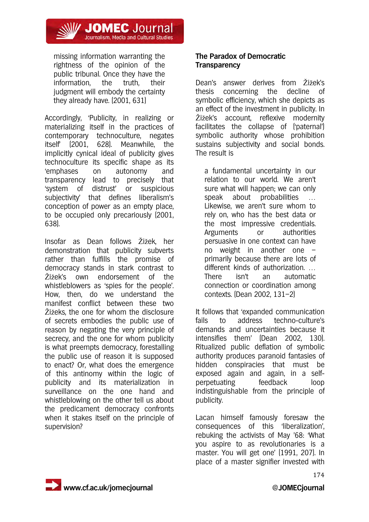

missing information warranting the rightness of the opinion of the public tribunal. Once they have the information, the truth, their judgment will embody the certainty they already have. (2001, 631)

Accordingly, 'Publicity, in realizing or materializing itself in the practices of contemporary technoculture, negates itself' (2001, 628). Meanwhile, the implicitly cynical ideal of publicity gives technoculture its specific shape as its 'emphases on autonomy and transparency lead to precisely that 'system of distrust' or suspicious subjectivity' that defines liberalism's conception of power as an empty place, to be occupied only precariously (2001, 638).

Insofar as Dean follows Žižek, her demonstration that publicity subverts rather than fulfills the promise of democracy stands in stark contrast to Žižek's own endorsement of the whistleblowers as 'spies for the people'. How, then, do we understand the manifest conflict between these two Žižeks, the one for whom the disclosure of secrets embodies the public use of reason by negating the very principle of secrecy, and the one for whom publicity is what preempts democracy, forestalling the public use of reason it is supposed to enact? Or, what does the emergence of this antinomy within the logic of publicity and its materialization in surveillance on the one hand and whistleblowing on the other tell us about the predicament democracy confronts when it stakes itself on the principle of supervision?

### **The Paradox of Democratic Transparency**

Dean's answer derives from Žižek's thesis concerning the decline of symbolic efficiency, which she depicts as an effect of the investment in publicity. In Žižek's account, reflexive modernity facilitates the collapse of ('paternal') symbolic authority whose prohibition sustains subjectivity and social bonds. The result is

a fundamental uncertainty in our relation to our world. We aren't sure what will happen; we can only speak about probabilities … Likewise, we aren't sure whom to rely on, who has the best data or the most impressive credentials. Arguments or authorities persuasive in one context can have no weight in another one – primarily because there are lots of different kinds of authorization. … There isn't an automatic connection or coordination among contexts. (Dean 2002, 131–2)

It follows that 'expanded communication fails to address techno-culture's demands and uncertainties because it intensifies them' (Dean 2002, 130). Ritualized public deflation of symbolic authority produces paranoid fantasies of hidden conspiracies that must be exposed again and again, in a selfperpetuating feedback loop indistinguishable from the principle of publicity.

Lacan himself famously foresaw the consequences of this 'liberalization', rebuking the activists of May '68: 'What you aspire to as revolutionaries is a master. You will get one' (1991, 207). In place of a master signifier invested with

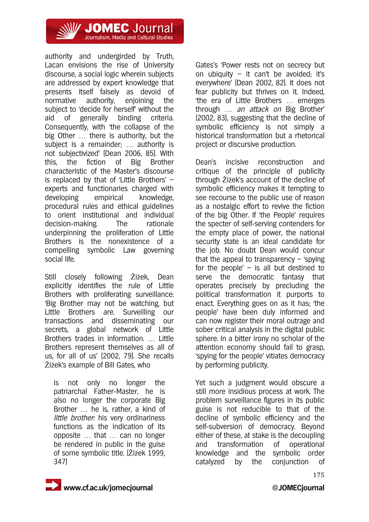

authority and undergirded by Truth, Lacan envisions the rise of University discourse, a social logic wherein subjects are addressed by expert knowledge that presents itself falsely as devoid of normative authority, enjoining the subject to 'decide for herself' without the aid of generally binding criteria. Consequently, with 'the collapse of the big Other … there is authority, but the subject is a remainder; … authority is not subjectivized' (Dean 2006, 85). With this, the fiction of Big Brother characteristic of the Master's discourse is replaced by that of 'Little Brothers' – experts and functionaries charged with developing empirical knowledge, procedural rules and ethical guidelines to orient institutional and individual decision-making. The rationale underpinning the proliferation of Little Brothers is the nonexistence of a compelling symbolic Law governing social life.

Still closely following Žižek, Dean explicitly identifies the rule of Little Brothers with proliferating surveillance: 'Big Brother may not be watching, but Little Brothers are. Surveilling our transactions and disseminating our secrets, a global network of Little Brothers trades in information. … Little Brothers represent themselves as all of us, for all of us' (2002, 79). She recalls Žižek's example of Bill Gates, who

is not only no longer the patriarchal Father-Master, he is also no longer the corporate Big Brother … he is, rather, a kind of little brother: his very ordinariness functions as the indication of its opposite … that … can no longer be rendered in public in the guise of some symbolic title. (Žižek 1999, 347)

Gates's 'Power rests not on secrecy but on ubiquity  $-$  it can't be avoided; it's everywhere' (Dean 2002, 82). It does not fear publicity but thrives on it. Indeed, 'the era of Little Brothers … emerges through ... an attack on Big Brother' (2002, 83), suggesting that the decline of symbolic efficiency is not simply a historical transformation but a rhetorical project or discursive production.

Dean's incisive reconstruction and critique of the principle of publicity through Žižek's account of the decline of symbolic efficiency makes it tempting to see recourse to the public use of reason as a nostalgic effort to revive the fiction of the big Other. If 'the People' requires the specter of self-serving contenders for the empty place of power, the national security state is an ideal candidate for the job. No doubt Dean would concur that the appeal to transparency  $-$  'spying for the people'  $-$  is all but destined to serve the democratic fantasy that operates precisely by precluding the political transformation it purports to enact. Everything goes on as it has; 'the people' have been duly informed and can now register their moral outrage and sober critical analysis in the digital public sphere. In a bitter irony no scholar of the attention economy should fail to grasp, 'spying for the people' vitiates democracy by performing publicity.

Yet such a judgment would obscure a still more insidious process at work. The problem surveillance figures in its public guise is not reducible to that of the decline of symbolic efficiency and the self-subversion of democracy. Beyond either of these, at stake is the decoupling and transformation of operational knowledge and the symbolic order catalyzed by the conjunction of

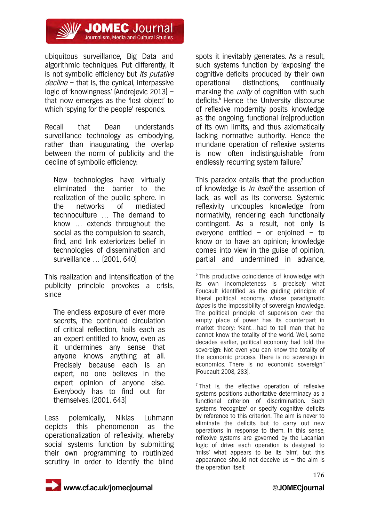

ubiquitous surveillance, Big Data and algorithmic techniques. Put differently, it is not symbolic efficiency but its putative  $decline -$  that is, the cynical, interpassive logic of 'knowingness' (Andrejevic 2013) – that now emerges as the 'lost object' to which 'spying for the people' responds.

Recall that Dean understands surveillance technology as embodying, rather than inaugurating, the overlap between the norm of publicity and the decline of symbolic efficiency:

New technologies have virtually eliminated the barrier to the realization of the public sphere. In the networks of mediated technoculture … The demand to know … extends throughout the social as the compulsion to search, find, and link exteriorizes belief in technologies of dissemination and surveillance … (2001, 640)

This realization and intensification of the publicity principle provokes a crisis, since

The endless exposure of ever more secrets, the continued circulation of critical reflection, hails each as an expert entitled to know, even as it undermines any sense that anyone knows anything at all. Precisely because each is an expert, no one believes in the expert opinion of anyone else. Everybody has to find out for themselves. (2001, 643)

Less polemically, Niklas Luhmann depicts this phenomenon as the operationalization of reflexivity, whereby social systems function by submitting their own programming to routinized scrutiny in order to identify the blind

spots it inevitably generates. As a result, such systems function by 'exposing' the cognitive deficits produced by their own operational distinctions, continually marking the *unity* of cognition with such deficits.<sup>6</sup> Hence the University discourse of reflexive modernity posits knowledge as the ongoing, functional (re)production of its own limits, and thus axiomatically lacking normative authority. Hence the mundane operation of reflexive systems is now often indistinguishable from endlessly recurring system failure.<sup>7</sup>

This paradox entails that the production of knowledge is *in itself* the assertion of lack, as well as its converse. Systemic reflexivity uncouples knowledge from normativity, rendering each functionally contingent. As a result, not only is everyone entitled – or enjoined – to know or to have an opinion; knowledge comes into view in the guise of opinion, partial and undermined in advance,

<u>.</u> <sup>6</sup> This productive coincidence of knowledge with its own incompleteness is precisely what Foucault identified as the guiding principle of liberal political economy, whose paradigmatic topos is the impossibility of sovereign knowledge. The political principle of supervision over the empty place of power has its counterpart in market theory: 'Kant…had to tell man that he cannot know the totality of the world. Well, some decades earlier, political economy had told the sovereign: Not even you can know the totality of the economic process. There is no sovereign in economics. There is no economic sovereign'' (Foucault 2008, 283).

 $7$  That is, the effective operation of reflexive systems positions authoritative determinacy as a functional criterion of discrimination. Such systems 'recognize' or specify cognitive deficits by reference to this criterion. The aim is never to eliminate the deficits but to carry out new operations in response to them. In this sense, reflexive systems are governed by the Lacanian logic of drive: each operation is designed to 'miss' what appears to be its 'aim', but this appearance should not deceive us – the aim is the operation itself.

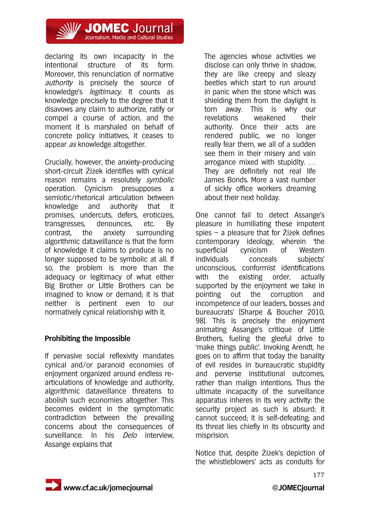

declaring its own incapacity in the intentional structure of its form. Moreover, this renunciation of normative authority is precisely the source of knowledge's legitimacy. It counts as knowledge precisely to the degree that it disavows any claim to authorize, ratify or compel a course of action, and the moment it is marshaled on behalf of concrete policy initiatives, it ceases to appear as knowledge altogether.

Crucially, however, the anxiety-producing short-circuit Žižek identifies with cynical reason remains a resolutely symbolic operation. Cynicism presupposes a semiotic/rhetorical articulation between knowledge and authority that it promises, undercuts, defers, eroticizes, transgresses, denounces, etc. By contrast, the anxiety surrounding algorithmic dataveillance is that the form of knowledge it claims to produce is no longer supposed to be symbolic at all. If so, the problem is more than the adequacy or legitimacy of what either Big Brother or Little Brothers can be imagined to know or demand; it is that neither is pertinent even to our normatively cynical relationship with it.

### **Prohibiting the Impossible**

If pervasive social reflexivity mandates cynical and/or paranoid economies of enjoyment organized around endless rearticulations of knowledge and authority, algorithmic dataveillance threatens to abolish such economies altogether. This becomes evident in the symptomatic contradiction between the prevailing concerns about the consequences of surveillance. In his Delo interview, Assange explains that

The agencies whose activities we disclose can only thrive in shadow, they are like creepy and sleazy beetles which start to run around in panic when the stone which was shielding them from the daylight is torn away. This is why our revelations weakened their authority. Once their acts are rendered public, we no longer really fear them, we all of a sudden see them in their misery and vain arrogance mixed with stupidity. … They are definitely not real life James Bonds. More a vast number of sickly office workers dreaming about their next holiday.

One cannot fail to detect Assange's pleasure in humiliating these impotent spies – a pleasure that for Žižek defines contemporary ideology, wherein 'the superficial cynicism of Western individuals conceals subjects' unconscious, conformist identifications with the existing order, actually supported by the enjoyment we take in pointing out the corruption and incompetence of our leaders, bosses and bureaucrats' (Sharpe & Boucher 2010, 98). This is precisely the enjoyment animating Assange's critique of Little Brothers, fueling the gleeful drive to 'make things public'. Invoking Arendt, he goes on to affirm that today the banality of evil resides in bureaucratic stupidity and perverse institutional outcomes, rather than malign intentions. Thus the ultimate incapacity of the surveillance apparatus inheres in its very activity: the security project as such is absurd; it cannot succeed; it is self-defeating; and its threat lies chiefly in its obscurity and misprision.

Notice that, despite Žižek's depiction of the whistleblowers' acts as conduits for

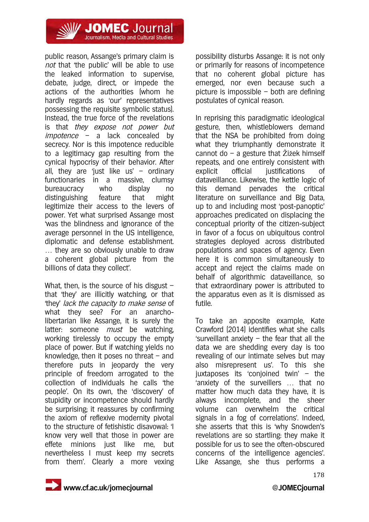

public reason, Assange's primary claim is not that 'the public' will be able to use the leaked information to supervise, debate, judge, direct, or impede the actions of the authorities (whom he hardly regards as 'our' representatives possessing the requisite symbolic status). Instead, the true force of the revelations is that they expose not power but  $impotence - a$  lack concealed by secrecy. Nor is this impotence reducible to a legitimacy gap resulting from the cynical hypocrisy of their behavior. After all, they are 'just like us'  $-$  ordinary functionaries in a massive, clumsy bureaucracy who display no distinguishing feature that might legitimize their access to the levers of power. Yet what surprised Assange most 'was the blindness and ignorance of the average personnel in the US intelligence, diplomatic and defense establishment. … they are so obviously unable to draw a coherent global picture from the billions of data they collect'.

What, then, is the source of his disgust  $$ that 'they' are illicitly watching, or that 'they' lack the capacity to make sense of what they see? For an anarcholibertarian like Assange, it is surely the latter: someone *must* be watching, working tirelessly to occupy the empty place of power. But if watching yields no knowledge, then it poses no threat – and therefore puts in jeopardy the very principle of freedom arrogated to the collection of individuals he calls 'the people'. On its own, the 'discovery' of stupidity or incompetence should hardly be surprising; it reassures by confirming the axiom of reflexive modernity pivotal to the structure of fetishistic disavowal: 'I know very well that those in power are effete minions just like me, but nevertheless I must keep my secrets from them'. Clearly a more vexing

possibility disturbs Assange: it is not only or primarily for reasons of incompetence that no coherent global picture has emerged, nor even because such a picture is impossible – both are defining postulates of cynical reason.

In reprising this paradigmatic ideological gesture, then, whistleblowers demand that the NSA be prohibited from doing what they triumphantly demonstrate it cannot do – a gesture that Žižek himself repeats, and one entirely consistent with explicit official justifications of dataveillance. Likewise, the kettle logic of this demand pervades the critical literature on surveillance and Big Data, up to and including most 'post-panoptic' approaches predicated on displacing the conceptual priority of the citizen-subject in favor of a focus on ubiquitous control strategies deployed across distributed populations and spaces of agency. Even here it is common simultaneously to accept and reject the claims made on behalf of algorithmic dataveillance, so that extraordinary power is attributed to the apparatus even as it is dismissed as futile.

To take an apposite example, Kate Crawford (2014) identifies what she calls 'surveillant anxiety  $-$  the fear that all the data we are shedding every day is too revealing of our intimate selves but may also misrepresent us'. To this she juxtaposes its 'conjoined twin' – the 'anxiety of the surveillers … that no matter how much data they have, it is always incomplete, and the sheer volume can overwhelm the critical signals in a fog of correlations'. Indeed, she asserts that this is 'why Snowden's revelations are so startling: they make it possible for us to see the often-obscured concerns of the intelligence agencies'. Like Assange, she thus performs a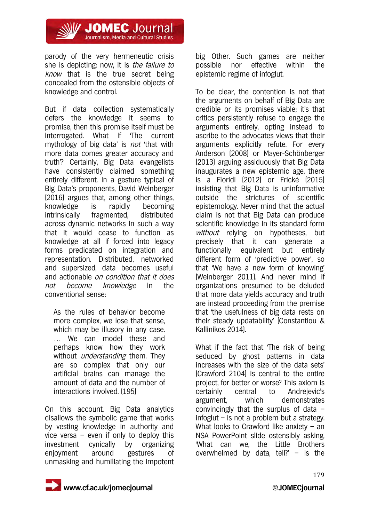

parody of the very hermeneutic crisis she is depicting: now, it is the failure to know that is the true secret being concealed from the ostensible objects of knowledge and control.

But if data collection systematically defers the knowledge it seems to promise, then this promise itself must be interrogated. What if 'The current mythology of big data' is not 'that with more data comes greater accuracy and truth'? Certainly, Big Data evangelists have consistently claimed something entirely different. In a gesture typical of Big Data's proponents, David Weinberger (2016) argues that, among other things, knowledge is rapidly becoming intrinsically fragmented, distributed across dynamic networks in such a way that it would cease to function as knowledge at all if forced into legacy forms predicated on integration and representation. Distributed, networked and supersized, data becomes useful and actionable on condition that it does not become knowledge in the conventional sense:

As the rules of behavior become more complex, we lose that sense, which may be illusory in any case. … We can model these and perhaps know how they work without *understanding* them. They are so complex that only our artificial brains can manage the amount of data and the number of interactions involved. (195)

On this account, Big Data analytics disallows the symbolic game that works by vesting knowledge in authority and vice versa  $-$  even if only to deploy this investment cynically by organizing enjoyment around gestures of unmasking and humiliating the impotent

big Other. Such games are neither possible nor effective within the epistemic regime of infoglut.

To be clear, the contention is not that the arguments on behalf of Big Data are credible or its promises viable; it's that critics persistently refuse to engage the arguments entirely, opting instead to ascribe to the advocates views that their arguments explicitly refute. For every Anderson (2008) or Mayer-Schönberger (2013) arguing assiduously that Big Data inaugurates a new epistemic age, there is a Floridi (2012) or Frické (2015) insisting that Big Data is uninformative outside the strictures of scientific epistemology. Never mind that the actual claim is not that Big Data can produce scientific knowledge in its standard form without relying on hypotheses, but precisely that it can generate a functionally equivalent but entirely different form of 'predictive power', so that 'We have a new form of knowing' (Weinberger 2011). And never mind if organizations presumed to be deluded that more data yields accuracy and truth are instead proceeding from the premise that 'the usefulness of big data rests on their steady updatability' (Constantiou & Kallinikos 2014).

What if the fact that 'The risk of being seduced by ghost patterns in data increases with the size of the data sets' (Crawford 2104) is central to the entire project, for better or worse? This axiom is certainly central to Andrejevic's argument, which demonstrates convincingly that the surplus of data  $$ infoglut – is not a problem but a strategy. What looks to Crawford like anxiety  $-$  an NSA PowerPoint slide ostensibly asking, 'What can we, the Little Brothers overwhelmed by data, tell?'  $-$  is the

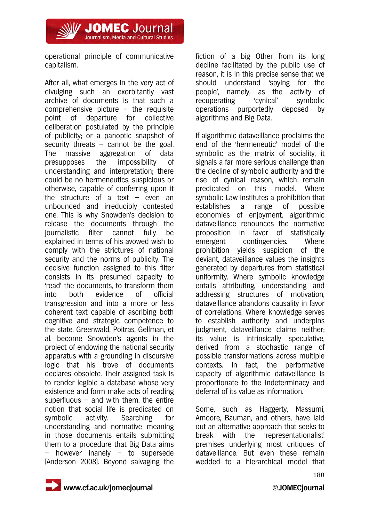**// JOMEC** Journal Journalism, Media and Cultural Studies

operational principle of communicative capitalism.

After all, what emerges in the very act of divulging such an exorbitantly vast archive of documents is that such a comprehensive picture  $-$  the requisite point of departure for collective deliberation postulated by the principle of publicity; or a panoptic snapshot of security threats  $-$  cannot be the goal. The massive aggregation of data presupposes the impossibility of understanding and interpretation; there could be no hermeneutics, suspicious or otherwise, capable of conferring upon it the structure of a text  $-$  even an unbounded and irreducibly contested one. This is why Snowden's decision to release the documents through the journalistic filter cannot fully be explained in terms of his avowed wish to comply with the strictures of national security and the norms of publicity. The decisive function assigned to this filter consists in its presumed capacity to 'read' the documents, to transform them into both evidence of official transgression and into a more or less coherent text capable of ascribing both cognitive and strategic competence to the state. Greenwald, Poitras, Gellman, et al. become Snowden's agents in the project of endowing the national security apparatus with a grounding in discursive logic that his trove of documents declares obsolete. Their assigned task is to render legible a database whose very existence and form make acts of reading superfluous  $-$  and with them, the entire notion that social life is predicated on symbolic activity. Searching for understanding and normative meaning in those documents entails submitting them to a procedure that Big Data aims – however inanely – to supersede (Anderson 2008). Beyond salvaging the

fiction of a big Other from its long decline facilitated by the public use of reason, it is in this precise sense that we should understand 'spying for the people', namely, as the activity of recuperating 'cynical' symbolic operations purportedly deposed by algorithms and Big Data.

If algorithmic dataveillance proclaims the end of the 'hermeneutic' model of the symbolic as the matrix of sociality, it signals a far more serious challenge than the decline of symbolic authority and the rise of cynical reason, which remain predicated on this model. Where symbolic Law institutes a prohibition that establishes a range of possible economies of enjoyment, algorithmic dataveillance renounces the normative proposition in favor of statistically emergent contingencies. Where prohibition yields suspicion of the deviant, dataveillance values the insights generated by departures from statistical uniformity. Where symbolic knowledge entails attributing, understanding and addressing structures of motivation, dataveillance abandons causality in favor of correlations. Where knowledge serves to establish authority and underpins judgment, dataveillance claims neither; its value is intrinsically speculative, derived from a stochastic range of possible transformations across multiple contexts. In fact, the performative capacity of algorithmic dataveillance is proportionate to the indeterminacy and deferral of its value as information.

Some, such as Haggerty, Massumi, Amoore, Bauman, and others, have laid out an alternative approach that seeks to break with the 'representationalist' premises underlying most critiques of dataveillance. But even these remain wedded to a hierarchical model that

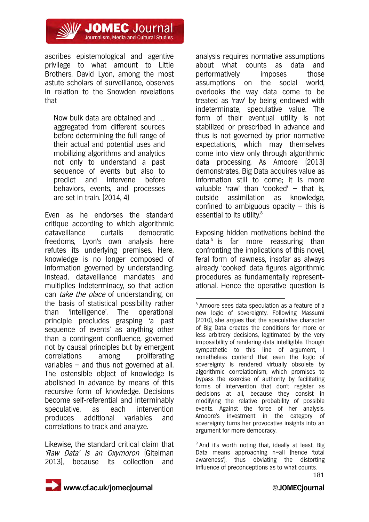**/ JOMEC** Journal Journalism, Media and Cultural Studies

ascribes epistemological and agentive privilege to what amount to Little Brothers. David Lyon, among the most astute scholars of surveillance, observes in relation to the Snowden revelations that

Now bulk data are obtained and … aggregated from different sources before determining the full range of their actual and potential uses and mobilizing algorithms and analytics not only to understand a past sequence of events but also to predict and intervene before behaviors, events, and processes are set in train. (2014, 4)

Even as he endorses the standard critique according to which algorithmic dataveillance curtails democratic freedoms, Lyon's own analysis here refutes its underlying premises. Here, knowledge is no longer composed of information governed by understanding. Instead, dataveillance mandates and multiplies indeterminacy, so that action can *take the place* of understanding, on the basis of statistical possibility rather than 'intelligence'. The operational principle precludes grasping 'a past sequence of events' as anything other than a contingent confluence, governed not by causal principles but by emergent correlations among proliferating variables – and thus not governed at all. The ostensible object of knowledge is abolished in advance by means of this recursive form of knowledge. Decisions become self-referential and interminably speculative, as each intervention produces additional variables and correlations to track and analyze.

Likewise, the standard critical claim that 'Raw Data' Is an Oxymoron (Gitelman 2013), because its collection and analysis requires normative assumptions about what counts as data and performatively imposes those assumptions on the social world, overlooks the way data come to be treated as 'raw' by being endowed with indeterminate, speculative value. The form of their eventual utility is not stabilized or prescribed in advance and thus is not governed by prior normative expectations, which may themselves come into view only through algorithmic data processing. As Amoore (2013) demonstrates, Big Data acquires value as information still to come; it is more valuable 'raw' than 'cooked' – that is, outside assimilation as knowledge, confined to ambiguous opacity  $-$  this is essential to its utility.<sup>8</sup>

Exposing hidden motivations behind the data  $9$  is far more reassuring than confronting the implications of this novel, feral form of rawness, insofar as always already 'cooked' data figures algorithmic procedures as fundamentally representational. Hence the operative question is

<u>.</u>

 $9$  And it's worth noting that, ideally at least, Big Data means approaching n=all (hence 'total awareness'), thus obviating the distorting influence of preconceptions as to what counts.



<sup>8</sup> Amoore sees data speculation as a feature of a new logic of sovereignty. Following Massumi (2010), she argues that the speculative character of Big Data creates the conditions for more or less arbitrary decisions, legitimated by the very impossibility of rendering data intelligible. Though sympathetic to this line of argument, I nonetheless contend that even the logic of sovereignty is rendered virtually obsolete by algorithmic correlationism, which promises to bypass the exercise of authority by facilitating forms of intervention that don't register as decisions at all, because they consist in modifying the relative probability of possible events. Against the force of her analysis, Amoore's investment in the category of sovereignty turns her provocative insights into an argument for more democracy.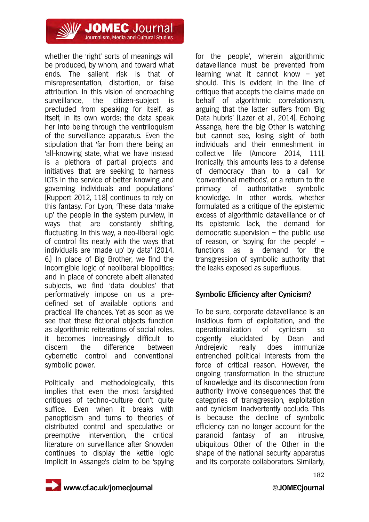

whether the 'right' sorts of meanings will be produced, by whom, and toward what ends. The salient risk is that of misrepresentation, distortion, or false attribution. In this vision of encroaching surveillance, the citizen-subject is precluded from speaking for itself, as itself, in its own words; the data speak her into being through the ventriloquism of the surveillance apparatus. Even the stipulation that 'far from there being an 'all-knowing state, what we have instead is a plethora of partial projects and initiatives that are seeking to harness ICTs in the service of better knowing and governing individuals and populations' (Ruppert 2012, 118) continues to rely on this fantasy. For Lyon, 'These data 'make up' the people in the system purview, in ways that are constantly shifting, fluctuating. In this way, a neo-liberal logic of control fits neatly with the ways that individuals are 'made up' by data' (2014, 6.) In place of Big Brother, we find the incorrigible logic of neoliberal biopolitics; and in place of concrete albeit alienated subjects, we find 'data doubles' that performatively impose on us a predefined set of available options and practical life chances. Yet as soon as we see that these fictional objects function as algorithmic reiterations of social roles, it becomes increasingly difficult to discern the difference between cybernetic control and conventional symbolic power.

Politically and methodologically, this implies that even the most farsighted critiques of techno-culture don't quite suffice. Even when it breaks with panopticism and turns to theories of distributed control and speculative or preemptive intervention, the critical literature on surveillance after Snowden continues to display the kettle logic implicit in Assange's claim to be 'spying for the people', wherein algorithmic dataveillance must be prevented from learning what it cannot know – yet should. This is evident in the line of critique that accepts the claims made on behalf of algorithmic correlationism, arguing that the latter suffers from 'Big Data hubris' (Lazer et al., 2014). Echoing Assange, here the big Other is watching but cannot see, losing sight of both individuals and their enmeshment in collective life (Amoore 2014, 111). Ironically, this amounts less to a defense of democracy than to a call for 'conventional methods', or a return to the primacy of authoritative symbolic knowledge. In other words, whether formulated as a critique of the epistemic excess of algorithmic dataveillance or of its epistemic lack, the demand for democratic supervision – the public use of reason, or 'spying for the people' – functions as a demand for the transgression of symbolic authority that the leaks exposed as superfluous.

### **Symbolic Efficiency after Cynicism?**

To be sure, corporate dataveillance is an insidious form of exploitation, and the operationalization of cynicism so cogently elucidated by Dean and Andrejevic really does immunize entrenched political interests from the force of critical reason. However, the ongoing transformation in the structure of knowledge and its disconnection from authority involve consequences that the categories of transgression, exploitation and cynicism inadvertently occlude. This is because the decline of symbolic efficiency can no longer account for the paranoid fantasy of an intrusive, ubiquitous Other of the Other in the shape of the national security apparatus and its corporate collaborators. Similarly,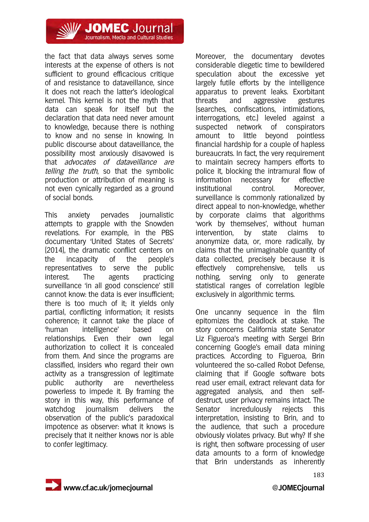

the fact that data always serves some interests at the expense of others is not sufficient to ground efficacious critique of and resistance to dataveillance, since it does not reach the latter's ideological kernel. This kernel is not the myth that data can speak for itself but the declaration that data need never amount to knowledge, because there is nothing to know and no sense in knowing. In public discourse about dataveillance, the possibility most anxiously disavowed is that advocates of dataveillance are telling the truth, so that the symbolic production or attribution of meaning is not even cynically regarded as a ground of social bonds.

This anxiety pervades journalistic attempts to grapple with the Snowden revelations. For example, in the PBS documentary 'United States of Secrets' (2014), the dramatic conflict centers on the incapacity of the people's representatives to serve the public interest. The agents practicing surveillance 'in all good conscience' still cannot know: the data is ever insufficient; there is too much of it; it yields only partial, conflicting information; it resists coherence; it cannot take the place of 'human intelligence' based on relationships. Even their own legal authorization to collect it is concealed from them. And since the programs are classified, insiders who regard their own activity as a transgression of legitimate public authority are nevertheless powerless to impede it. By framing the story in this way, this performance of watchdog journalism delivers the observation of the public's paradoxical impotence as observer: what it knows is precisely that it neither knows nor is able to confer legitimacy.

Moreover, the documentary devotes considerable diegetic time to bewildered speculation about the excessive yet largely futile efforts by the intelligence apparatus to prevent leaks. Exorbitant threats and aggressive gestures (searches, confiscations, intimidations, interrogations, etc.) leveled against a suspected network of conspirators amount to little beyond pointless financial hardship for a couple of hapless bureaucrats. In fact, the very requirement to maintain secrecy hampers efforts to police it, blocking the intramural flow of information necessary for effective institutional control. Moreover, surveillance is commonly rationalized by direct appeal to non-knowledge, whether by corporate claims that algorithms 'work by themselves', without human intervention, by state claims to anonymize data, or, more radically, by claims that the unimaginable quantity of data collected, precisely because it is effectively comprehensive, tells us nothing, serving only to generate statistical ranges of correlation legible exclusively in algorithmic terms.

One uncanny sequence in the film epitomizes the deadlock at stake. The story concerns California state Senator Liz Figueroa's meeting with Sergei Brin concerning Google's email data mining practices. According to Figueroa, Brin volunteered the so-called Robot Defense, claiming that if Google software bots read user email, extract relevant data for aggregated analysis, and then selfdestruct, user privacy remains intact. The Senator incredulously rejects this interpretation, insisting to Brin, and to the audience, that such a procedure obviously violates privacy. But why? If she is right, then software processing of user data amounts to a form of knowledge that Brin understands as inherently

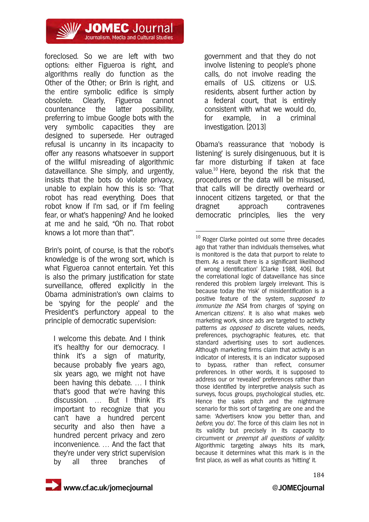

foreclosed. So we are left with two options: either Figueroa is right, and algorithms really do function as the Other of the Other; or Brin is right, and the entire symbolic edifice is simply obsolete. Clearly, Figueroa cannot countenance the latter possibility, preferring to imbue Google bots with the very symbolic capacities they are designed to supersede. Her outraged refusal is uncanny in its incapacity to offer any reasons whatsoever in support of the willful misreading of algorithmic dataveillance. She simply, and urgently, insists that the bots do violate privacy, unable to explain how this is so: 'That robot has read everything. Does that robot know if I'm sad, or if I'm feeling fear, or what's happening? And he looked at me and he said, "Oh no. That robot knows a lot more than that"'.

Brin's point, of course, is that the robot's knowledge is of the wrong sort, which is what Figueroa cannot entertain. Yet this is also the primary justification for state surveillance, offered explicitly in the Obama administration's own claims to be 'spying for the people' and the President's perfunctory appeal to the principle of democratic supervision:

I welcome this debate. And I think it's healthy for our democracy. I think it's a sign of maturity, because probably five years ago, six years ago, we might not have been having this debate. … I think that's good that we're having this discussion. … But I think it's important to recognize that you can't have a hundred percent security and also then have a hundred percent privacy and zero inconvenience. … And the fact that they're under very strict supervision by all three branches of

government and that they do not involve listening to people's phone calls, do not involve reading the emails of U.S. citizens or U.S. residents, absent further action by a federal court, that is entirely consistent with what we would do, for example, in a criminal investigation. (2013)

Obama's reassurance that 'nobody is listening' is surely disingenuous, but it is far more disturbing if taken at face value.10 Here, beyond the risk that the procedures or the data will be misused, that calls will be directly overheard or innocent citizens targeted, or that the dragnet approach contravenes democratic principles, lies the very

<u>.</u>

<sup>&</sup>lt;sup>10</sup> Roger Clarke pointed out some three decades ago that 'rather than individuals themselves, what is monitored is the data that purport to relate to them. As a result there is a significant likelihood of wrong identification' (Clarke 1988, 406). But the correlational logic of dataveillance has since rendered this problem largely irrelevant. This is because today the 'risk' of misidentification is a positive feature of the system, supposed to immunize the NSA from charges of 'spying on American citizens'. It is also what makes web marketing work, since ads are targeted to activity patterns as opposed to discrete values, needs, preferences, psychographic features, etc. that standard advertising uses to sort audiences. Although marketing firms claim that activity is an indicator of interests, it is an indicator supposed to bypass, rather than reflect, consumer preferences. In other words, it is supposed to address our or 'revealed' preferences rather than those identified by interpretive analysis such as surveys, focus groups, psychological studies, etc. Hence the sales pitch and the nightmare scenario for this sort of targeting are one and the same: 'Advertisers know you better than, and before, you do'. The force of this claim lies not in its validity but precisely in its capacity to circumvent or preempt all questions of validity. Algorithmic targeting always hits its mark, because it determines what this mark is in the first place, as well as what counts as 'hitting' it.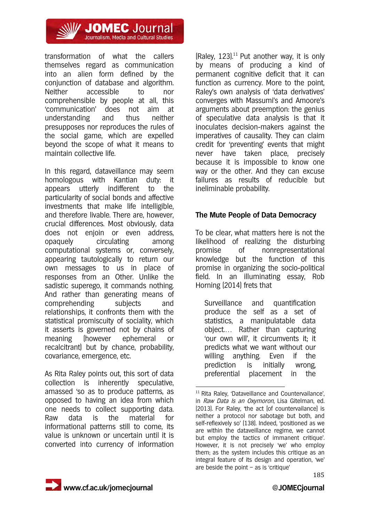

transformation of what the callers themselves regard as communication into an alien form defined by the conjunction of database and algorithm. Neither accessible to nor comprehensible by people at all, this 'communication' does not aim at understanding and thus neither presupposes nor reproduces the rules of the social game, which are expelled beyond the scope of what it means to maintain collective life.

In this regard, dataveillance may seem homologous with Kantian duty: it appears utterly indifferent to the particularity of social bonds and affective investments that make life intelligible, and therefore livable. There are, however, crucial differences. Most obviously, data does not enjoin or even address, opaquely circulating among computational systems or, conversely, appearing tautologically to return our own messages to us in place of responses from an Other. Unlike the sadistic superego, it commands nothing. And rather than generating means of comprehending subjects and relationships, it confronts them with the statistical promiscuity of sociality, which it asserts is governed not by chains of meaning (however ephemeral or recalcitrant) but by chance, probability, covariance, emergence, etc.

As Rita Raley points out, this sort of data collection is inherently speculative, amassed 'so as to produce patterns, as opposed to having an idea from which one needs to collect supporting data. Raw data is the material for informational patterns still to come, its value is unknown or uncertain until it is converted into currency of information (Raley,  $123$ ).<sup>11</sup> Put another way, it is only by means of producing a kind of permanent cognitive deficit that it can function as currency. More to the point, Raley's own analysis of 'data derivatives' converges with Massumi's and Amoore's arguments about preemption: the genius of speculative data analysis is that it inoculates decision-makers against the imperatives of causality. They can claim credit for 'preventing' events that might never have taken place, precisely because it is impossible to know one way or the other. And they can excuse failures as results of reducible but ineliminable probability.

### **The Mute People of Data Democracy**

To be clear, what matters here is not the likelihood of realizing the disturbing promise of nonrepresentational knowledge but the function of this promise in organizing the socio-political field. In an illuminating essay, Rob Horning (2014) frets that

Surveillance and quantification produce the self as a set of statistics, a manipulatable data object.… Rather than capturing 'our own will', it circumvents it; it predicts what we want without our willing anything. Even if the prediction is initially wrong, preferential placement in the

<sup>&</sup>lt;u>.</u> <sup>11</sup> Rita Raley, 'Dataveillance and Countervailance', in Raw Data Is an Oxymoron, Lisa Gitelman, ed. (2013). For Raley, 'the act [of countervailance] is neither a protocol nor sabotage but both, and self-reflexively so' (138). Indeed, 'positioned as we are within the dataveillance regime, we cannot but employ the tactics of immanent critique'. However, it is not precisely 'we' who employ them; as the system includes this critique as an integral feature of its design and operation, 'we' are beside the point  $-$  as is 'critique'

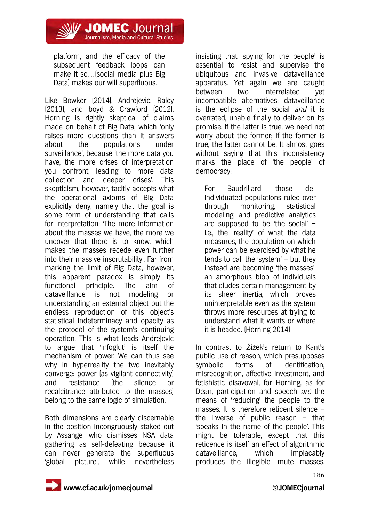**// JOMEC** Journal Journalism, Media and Cultural Studies

platform, and the efficacy of the subsequent feedback loops can make it so…(social media plus Big Data) makes our will superfluous.

Like Bowker (2014), Andrejevic, Raley (2013), and boyd & Crawford (2012), Horning is rightly skeptical of claims made on behalf of Big Data, which 'only raises more questions than it answers about the populations under surveillance', because 'the more data you have, the more crises of interpretation you confront, leading to more data collection and deeper crises'. This skepticism, however, tacitly accepts what the operational axioms of Big Data explicitly deny, namely that the goal is some form of understanding that calls for interpretation: 'The more information about the masses we have, the more we uncover that there is to know, which makes the masses recede even further into their massive inscrutability'. Far from marking the limit of Big Data, however, this apparent paradox is simply its functional principle. The aim of dataveillance is not modeling or understanding an external object but the endless reproduction of this object's statistical indeterminacy and opacity as the protocol of the system's continuing operation. This is what leads Andrejevic to argue that 'infoglut' is itself the mechanism of power. We can thus see why in hyperreality the two inevitably converge: power (as vigilant connectivity) and resistance (the silence or recalcitrance attributed to the masses) belong to the same logic of simulation.

Both dimensions are clearly discernable in the position incongruously staked out by Assange, who dismisses NSA data gathering as self-defeating because it can never generate the superfluous 'global picture', while nevertheless insisting that 'spying for the people' is essential to resist and supervise the ubiquitous and invasive dataveillance apparatus. Yet again we are caught between two interrelated yet incompatible alternatives: dataveillance is the eclipse of the social *and* it is overrated, unable finally to deliver on its promise. If the latter is true, we need not worry about the former; if the former is true, the latter cannot be. It almost goes without saying that this inconsistency marks the place of 'the people' of democracy:

For Baudrillard, those deindividuated populations ruled over through monitoring, statistical modeling, and predictive analytics are supposed to be 'the social' – i.e., the 'reality' of what the data measures, the population on which power can be exercised by what he tends to call the 'system' – but they instead are becoming 'the masses', an amorphous blob of individuals that eludes certain management by its sheer inertia, which proves uninterpretable even as the system throws more resources at trying to understand what it wants or where it is headed. (Horning 2014)

In contrast to Žižek's return to Kant's public use of reason, which presupposes symbolic forms of identification, misrecognition, affective investment, and fetishistic disavowal, for Horning, as for Dean, participation and speech are the means of 'reducing' the people to the masses. It is therefore reticent silence – the inverse of public reason  $-$  that 'speaks in the name of the people'. This might be tolerable, except that this reticence is itself an effect of algorithmic dataveillance, which implacably produces the illegible, mute masses.

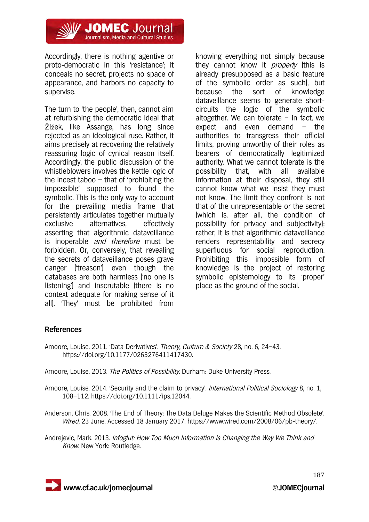

Accordingly, there is nothing agentive or proto-democratic in this 'resistance'; it conceals no secret, projects no space of appearance, and harbors no capacity to supervise.

The turn to 'the people', then, cannot aim at refurbishing the democratic ideal that Žižek, like Assange, has long since rejected as an ideological ruse. Rather, it aims precisely at recovering the relatively reassuring logic of cynical reason itself. Accordingly, the public discussion of the whistleblowers involves the kettle logic of the incest taboo – that of 'prohibiting the impossible' supposed to found the symbolic. This is the only way to account for the prevailing media frame that persistently articulates together mutually exclusive alternatives, effectively asserting that algorithmic dataveillance is inoperable and therefore must be forbidden. Or, conversely, that revealing the secrets of dataveillance poses grave danger ('treason') even though the databases are both harmless ('no one is listening') and inscrutable (there is no context adequate for making sense of it all). 'They' must be prohibited from

knowing everything not simply because they cannot know it *properly* (this is already presupposed as a basic feature of the symbolic order as such), but because the sort of knowledge dataveillance seems to generate shortcircuits the logic of the symbolic altogether. We can tolerate  $-$  in fact, we expect and even demand – the authorities to transgress their official limits, proving unworthy of their roles as bearers of democratically legitimized authority. What we cannot tolerate is the possibility that, with all available information at their disposal, they still cannot know what we insist they must not know. The limit they confront is not that of the unrepresentable or the secret (which is, after all, the condition of possibility for privacy and subjectivity); rather, it is that algorithmic dataveillance renders representability and secrecy superfluous for social reproduction. Prohibiting this impossible form of knowledge is the project of restoring symbolic epistemology to its 'proper' place as the ground of the social.

#### **References**

Amoore, Louise. 2011. 'Data Derivatives'. Theory, Culture & Society 28, no. 6, 24–43. https://doi.org/10.1177/0263276411417430.

Amoore, Louise. 2013. The Politics of Possibility. Durham: Duke University Press.

- Amoore, Louise. 2014. 'Security and the claim to privacy'. International Political Sociology 8, no. 1, 108–112. https://doi.org/10.1111/ips.12044.
- Anderson, Chris. 2008. 'The End of Theory: The Data Deluge Makes the Scientific Method Obsolete'. Wired, 23 June. Accessed 18 January 2017. https://www.wired.com/2008/06/pb-theory/.
- Andrejevic, Mark. 2013. Infoglut: How Too Much Information Is Changing the Way We Think and Know. New York: Routledge.

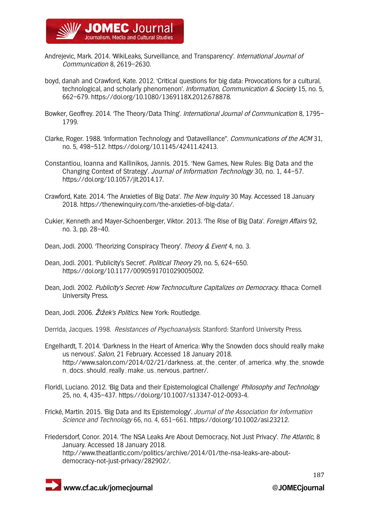

- Andrejevic, Mark. 2014. 'WikiLeaks, Surveillance, and Transparency'. International Journal of Communication 8, 2619–2630.
- boyd, danah and Crawford, Kate. 2012. 'Critical questions for big data: Provocations for a cultural, technological, and scholarly phenomenon'. *Information, Communication & Society* 15, no. 5, 662–679. https://doi.org/10.1080/1369118X.2012.678878.
- Bowker, Geoffrey. 2014. 'The Theory/Data Thing'. International Journal of Communication 8, 1795– 1799.
- Clarke, Roger. 1988. 'Information Technology and 'Dataveillance''. Communications of the ACM 31, no. 5, 498–512. https://doi.org/10.1145/42411.42413.
- Constantiou, Ioanna and Kallinikos, Jannis. 2015. 'New Games, New Rules: Big Data and the Changing Context of Strategy'. Journal of Information Technology 30, no. 1, 44–57. https://doi.org/10.1057/jit.2014.17.
- Crawford, Kate. 2014. 'The Anxieties of Big Data'. The New Inquiry 30 May. Accessed 18 January 2018. https://thenewinquiry.com/the-anxieties-of-big-data/.
- Cukier, Kenneth and Mayer-Schoenberger, Viktor. 2013. 'The Rise of Big Data'. Foreign Affairs 92, no. 3, pp. 28–40.
- Dean, Jodi. 2000. 'Theorizing Conspiracy Theory'. Theory & Event 4, no. 3.
- Dean, Jodi. 2001. 'Publicity's Secret'. Political Theory 29, no. 5, 624–650. https://doi.org/10.1177/0090591701029005002.
- Dean, Jodi. 2002. Publicity's Secret: How Technoculture Capitalizes on Democracy. Ithaca: Cornell University Press.
- Dean, Jodi. 2006. Žižek's Politics. New York: Routledge.

Derrida, Jacques. 1998. Resistances of Psychoanalysis. Stanford: Stanford University Press.

- Engelhardt, T. 2014. 'Darkness In the Heart of America: Why the Snowden docs should really make us nervous'. Salon, 21 February. Accessed 18 January 2018. http://www.salon.com/2014/02/21/darkness\_at\_the\_center\_of\_america\_why\_the\_snowde n\_docs\_should\_really\_make\_us\_nervous\_partner/.
- Floridi, Luciano. 2012. 'Big Data and their Epistemological Challenge' Philosophy and Technology 25, no. 4, 435–437. https://doi.org/10.1007/s13347-012-0093-4.
- Frické, Martin. 2015. 'Big Data and Its Epistemology'. Journal of the Association for Information Science and Technology 66, no. 4, 651–661. https://doi.org/10.1002/asi.23212.
- Friedersdorf, Conor. 2014. 'The NSA Leaks Are About Democracy, Not Just Privacy'. The Atlantic, 8 January. Accessed 18 January 2018. http://www.theatlantic.com/politics/archive/2014/01/the-nsa-leaks-are-aboutdemocracy-not-just-privacy/282902/.



 **www.cf.ac.uk/jomecjournal @JOMECjournal**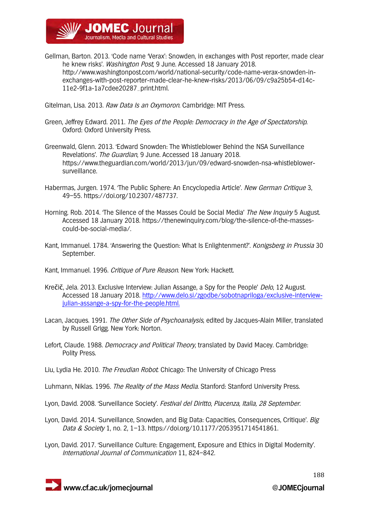

Gellman, Barton. 2013. 'Code name 'Verax': Snowden, in exchanges with Post reporter, made clear he knew risks'. Washington Post, 9 June. Accessed 18 January 2018. http://www.washingtonpost.com/world/national-security/code-name-verax-snowden-inexchanges-with-post-reporter-made-clear-he-knew-risks/2013/06/09/c9a25b54-d14c-11e2-9f1a-1a7cdee20287\_print.html.

Gitelman, Lisa. 2013. Raw Data Is an Oxymoron. Cambridge: MIT Press.

- Green, Jeffrey Edward, 2011. The Eves of the People: Democracy in the Age of Spectatorship. Oxford: Oxford University Press.
- Greenwald, Glenn. 2013. 'Edward Snowden: The Whistleblower Behind the NSA Surveillance Revelations'. The Guardian, 9 June. Accessed 18 January 2018. https://www.theguardian.com/world/2013/jun/09/edward-snowden-nsa-whistleblowersurveillance.
- Habermas, Jurgen. 1974. The Public Sphere: An Encyclopedia Article'. New German Critique 3, 49–55. https://doi.org/10.2307/487737.
- Horning. Rob. 2014. 'The Silence of the Masses Could be Social Media' The New Inquiry 5 August. Accessed 18 January 2018. https://thenewinquiry.com/blog/the-silence-of-the-massescould-be-social-media/.
- Kant, Immanuel. 1784. 'Answering the Question: What Is Enlightenment?'. Konigsberg in Prussia 30 September.
- Kant, Immanuel. 1996. Critique of Pure Reason. New York: Hackett.
- Krečič, Jela. 2013. Exclusive Interview: Julian Assange, a Spy for the People' Delo, 12 August. Accessed 18 January 2018. http://www.delo.si/zgodbe/sobotnapriloga/exclusive-interviewjulian-assange-a-spy-for-the-people.html.
- Lacan, Jacques. 1991. The Other Side of Psychoanalysis, edited by Jacques-Alain Miller, translated by Russell Grigg. New York: Norton.
- Lefort, Claude. 1988. Democracy and Political Theory, translated by David Macey. Cambridge: Polity Press.
- Liu, Lydia He. 2010. The Freudian Robot. Chicago: The University of Chicago Press
- Luhmann, Niklas. 1996. The Reality of the Mass Media. Stanford: Stanford University Press.
- Lyon, David. 2008. 'Surveillance Society'. Festival del Diritto, Piacenza, Italia, 28 September.
- Lyon, David. 2014. 'Surveillance, Snowden, and Big Data: Capacities, Consequences, Critique'. Big Data & Society 1, no. 2, 1–13. https://doi.org/10.1177/2053951714541861.
- Lyon, David. 2017. 'Surveillance Culture: Engagement, Exposure and Ethics in Digital Modernity'. International Journal of Communication 11, 824–842.

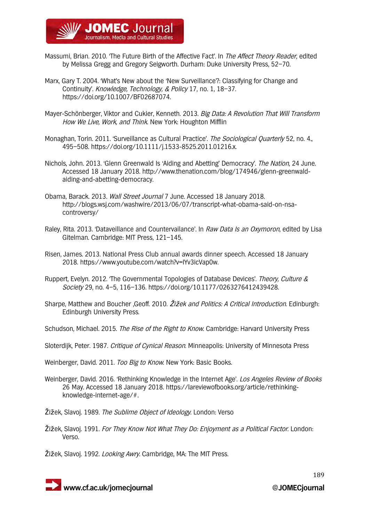

- Massumi, Brian. 2010. 'The Future Birth of the Affective Fact'. In The Affect Theory Reader, edited by Melissa Gregg and Gregory Seigworth. Durham: Duke University Press, 52–70.
- Marx, Gary T. 2004. 'What's New about the 'New Surveillance'?: Classifying for Change and Continuity'. Knowledge, Technology, & Policy 17, no. 1, 18–37. https://doi.org/10.1007/BF02687074.
- Mayer-Schönberger, Viktor and Cukier, Kenneth. 2013. Big Data: A Revolution That Will Transform How We Live, Work, and Think. New York: Houghton Mifflin
- Monaghan, Torin. 2011. 'Surveillance as Cultural Practice'. The Sociological Quarterly 52, no. 4., 495–508. https://doi.org/10.1111/j.1533-8525.2011.01216.x.
- Nichols, John. 2013. 'Glenn Greenwald Is 'Aiding and Abetting' Democracy'. The Nation, 24 June. Accessed 18 January 2018. http://www.thenation.com/blog/174946/glenn-greenwaldaiding-and-abetting-democracy.
- Obama, Barack. 2013. Wall Street Journal 7 June. Accessed 18 January 2018. http://blogs.wsj.com/washwire/2013/06/07/transcript-what-obama-said-on-nsacontroversy/
- Raley, Rita. 2013. 'Dataveillance and Countervailance'. In Raw Data Is an Oxymoron, edited by Lisa Gitelman. Cambridge: MIT Press, 121–145.
- Risen, James. 2013. National Press Club annual awards dinner speech. Accessed 18 January 2018. https://www.youtube.com/watch?v=IYv3icVap0w.
- Ruppert, Evelyn. 2012. 'The Governmental Topologies of Database Devices'. Theory, Culture & Society 29, no. 4–5, 116–136. https://doi.org/10.1177/0263276412439428.
- Sharpe, Matthew and Boucher ,Geoff. 2010. Žižek and Politics: A Critical Introduction. Edinburgh: Edinburgh University Press.
- Schudson, Michael. 2015. The Rise of the Right to Know. Cambridge: Harvard University Press
- Sloterdijk, Peter. 1987. Critique of Cynical Reason. Minneapolis: University of Minnesota Press

Weinberger, David. 2011. Too Big to Know. New York: Basic Books.

- Weinberger, David. 2016. 'Rethinking Knowledge in the Internet Age'. Los Angeles Review of Books 26 May. Accessed 18 January 2018. https://lareviewofbooks.org/article/rethinkingknowledge-internet-age/#.
- Žižek, Slavoj. 1989. The Sublime Object of Ideology. London: Verso
- Žižek, Slavoj. 1991. For They Know Not What They Do: Enjoyment as a Political Factor. London: Verso.
- Žižek, Slavoj. 1992. *Looking Awry.* Cambridge, MA: The MIT Press.